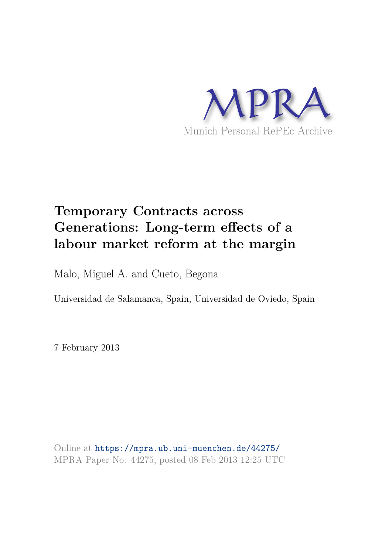

# **Temporary Contracts across Generations: Long-term effects of a labour market reform at the margin**

Malo, Miguel A. and Cueto, Begona

Universidad de Salamanca, Spain, Universidad de Oviedo, Spain

7 February 2013

Online at https://mpra.ub.uni-muenchen.de/44275/ MPRA Paper No. 44275, posted 08 Feb 2013 12:25 UTC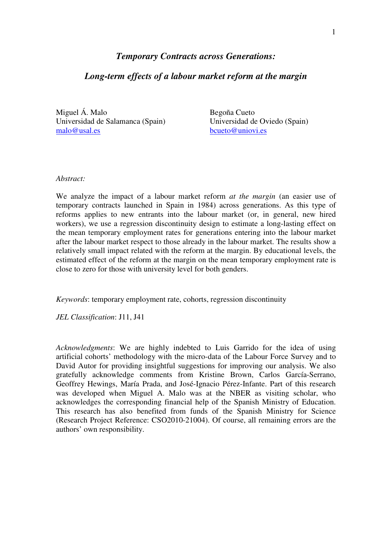# *Temporary Contracts across Generations:*

## *Long-term effects of a labour market reform at the margin*

Miguel Á. Malo Universidad de Salamanca (Spain) malo@usal.es

Begoña Cueto Universidad de Oviedo (Spain) bcueto@uniovi.es

#### *Abstract:*

We analyze the impact of a labour market reform *at the margin* (an easier use of temporary contracts launched in Spain in 1984) across generations. As this type of reforms applies to new entrants into the labour market (or, in general, new hired workers), we use a regression discontinuity design to estimate a long-lasting effect on the mean temporary employment rates for generations entering into the labour market after the labour market respect to those already in the labour market. The results show a relatively small impact related with the reform at the margin. By educational levels, the estimated effect of the reform at the margin on the mean temporary employment rate is close to zero for those with university level for both genders.

*Keywords*: temporary employment rate, cohorts, regression discontinuity

*JEL Classification*: J11, J41

*Acknowledgments*: We are highly indebted to Luis Garrido for the idea of using artificial cohorts' methodology with the micro-data of the Labour Force Survey and to David Autor for providing insightful suggestions for improving our analysis. We also gratefully acknowledge comments from Kristine Brown, Carlos García-Serrano, Geoffrey Hewings, María Prada, and José-Ignacio Pérez-Infante. Part of this research was developed when Miguel A. Malo was at the NBER as visiting scholar, who acknowledges the corresponding financial help of the Spanish Ministry of Education. This research has also benefited from funds of the Spanish Ministry for Science (Research Project Reference: CSO2010-21004). Of course, all remaining errors are the authors' own responsibility.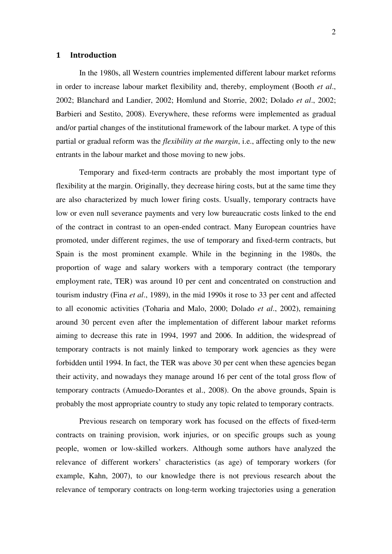#### **1 Introduction**

In the 1980s, all Western countries implemented different labour market reforms in order to increase labour market flexibility and, thereby, employment (Booth *et al*., 2002; Blanchard and Landier, 2002; Homlund and Storrie, 2002; Dolado *et al*., 2002; Barbieri and Sestito, 2008). Everywhere, these reforms were implemented as gradual and/or partial changes of the institutional framework of the labour market. A type of this partial or gradual reform was the *flexibility at the margin*, i.e., affecting only to the new entrants in the labour market and those moving to new jobs.

Temporary and fixed-term contracts are probably the most important type of flexibility at the margin. Originally, they decrease hiring costs, but at the same time they are also characterized by much lower firing costs. Usually, temporary contracts have low or even null severance payments and very low bureaucratic costs linked to the end of the contract in contrast to an open-ended contract. Many European countries have promoted, under different regimes, the use of temporary and fixed-term contracts, but Spain is the most prominent example. While in the beginning in the 1980s, the proportion of wage and salary workers with a temporary contract (the temporary employment rate, TER) was around 10 per cent and concentrated on construction and tourism industry (Fina *et al*., 1989), in the mid 1990s it rose to 33 per cent and affected to all economic activities (Toharia and Malo, 2000; Dolado *et al*., 2002), remaining around 30 percent even after the implementation of different labour market reforms aiming to decrease this rate in 1994, 1997 and 2006. In addition, the widespread of temporary contracts is not mainly linked to temporary work agencies as they were forbidden until 1994. In fact, the TER was above 30 per cent when these agencies began their activity, and nowadays they manage around 16 per cent of the total gross flow of temporary contracts (Amuedo-Dorantes et al., 2008). On the above grounds, Spain is probably the most appropriate country to study any topic related to temporary contracts.

Previous research on temporary work has focused on the effects of fixed-term contracts on training provision, work injuries, or on specific groups such as young people, women or low-skilled workers. Although some authors have analyzed the relevance of different workers' characteristics (as age) of temporary workers (for example, Kahn, 2007), to our knowledge there is not previous research about the relevance of temporary contracts on long-term working trajectories using a generation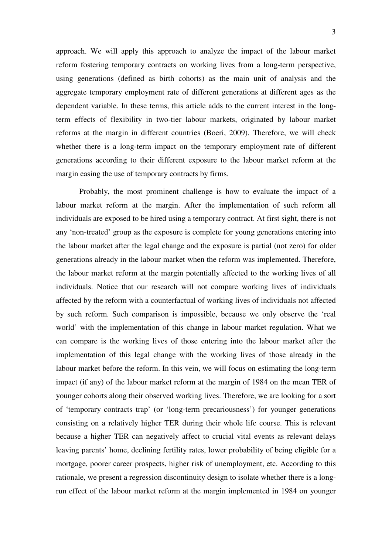approach. We will apply this approach to analyze the impact of the labour market reform fostering temporary contracts on working lives from a long-term perspective, using generations (defined as birth cohorts) as the main unit of analysis and the aggregate temporary employment rate of different generations at different ages as the dependent variable. In these terms, this article adds to the current interest in the longterm effects of flexibility in two-tier labour markets, originated by labour market reforms at the margin in different countries (Boeri, 2009). Therefore, we will check whether there is a long-term impact on the temporary employment rate of different generations according to their different exposure to the labour market reform at the margin easing the use of temporary contracts by firms.

Probably, the most prominent challenge is how to evaluate the impact of a labour market reform at the margin. After the implementation of such reform all individuals are exposed to be hired using a temporary contract. At first sight, there is not any 'non-treated' group as the exposure is complete for young generations entering into the labour market after the legal change and the exposure is partial (not zero) for older generations already in the labour market when the reform was implemented. Therefore, the labour market reform at the margin potentially affected to the working lives of all individuals. Notice that our research will not compare working lives of individuals affected by the reform with a counterfactual of working lives of individuals not affected by such reform. Such comparison is impossible, because we only observe the 'real world' with the implementation of this change in labour market regulation. What we can compare is the working lives of those entering into the labour market after the implementation of this legal change with the working lives of those already in the labour market before the reform. In this vein, we will focus on estimating the long-term impact (if any) of the labour market reform at the margin of 1984 on the mean TER of younger cohorts along their observed working lives. Therefore, we are looking for a sort of 'temporary contracts trap' (or 'long-term precariousness') for younger generations consisting on a relatively higher TER during their whole life course. This is relevant because a higher TER can negatively affect to crucial vital events as relevant delays leaving parents' home, declining fertility rates, lower probability of being eligible for a mortgage, poorer career prospects, higher risk of unemployment, etc. According to this rationale, we present a regression discontinuity design to isolate whether there is a longrun effect of the labour market reform at the margin implemented in 1984 on younger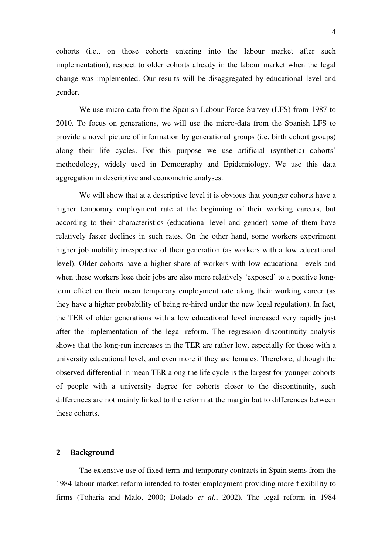cohorts (i.e., on those cohorts entering into the labour market after such implementation), respect to older cohorts already in the labour market when the legal change was implemented. Our results will be disaggregated by educational level and gender.

We use micro-data from the Spanish Labour Force Survey (LFS) from 1987 to 2010. To focus on generations, we will use the micro-data from the Spanish LFS to provide a novel picture of information by generational groups (i.e. birth cohort groups) along their life cycles. For this purpose we use artificial (synthetic) cohorts' methodology, widely used in Demography and Epidemiology. We use this data aggregation in descriptive and econometric analyses.

We will show that at a descriptive level it is obvious that younger cohorts have a higher temporary employment rate at the beginning of their working careers, but according to their characteristics (educational level and gender) some of them have relatively faster declines in such rates. On the other hand, some workers experiment higher job mobility irrespective of their generation (as workers with a low educational level). Older cohorts have a higher share of workers with low educational levels and when these workers lose their jobs are also more relatively 'exposed' to a positive longterm effect on their mean temporary employment rate along their working career (as they have a higher probability of being re-hired under the new legal regulation). In fact, the TER of older generations with a low educational level increased very rapidly just after the implementation of the legal reform. The regression discontinuity analysis shows that the long-run increases in the TER are rather low, especially for those with a university educational level, and even more if they are females. Therefore, although the observed differential in mean TER along the life cycle is the largest for younger cohorts of people with a university degree for cohorts closer to the discontinuity, such differences are not mainly linked to the reform at the margin but to differences between these cohorts.

### **2 Background**

The extensive use of fixed-term and temporary contracts in Spain stems from the 1984 labour market reform intended to foster employment providing more flexibility to firms (Toharia and Malo, 2000; Dolado *et al.*, 2002). The legal reform in 1984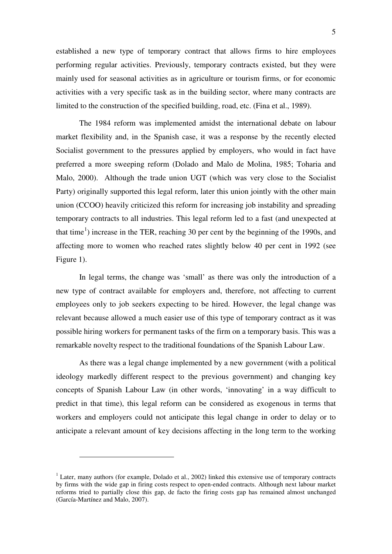established a new type of temporary contract that allows firms to hire employees performing regular activities. Previously, temporary contracts existed, but they were mainly used for seasonal activities as in agriculture or tourism firms, or for economic activities with a very specific task as in the building sector, where many contracts are limited to the construction of the specified building, road, etc. (Fina et al., 1989).

The 1984 reform was implemented amidst the international debate on labour market flexibility and, in the Spanish case, it was a response by the recently elected Socialist government to the pressures applied by employers, who would in fact have preferred a more sweeping reform (Dolado and Malo de Molina, 1985; Toharia and Malo, 2000). Although the trade union UGT (which was very close to the Socialist Party) originally supported this legal reform, later this union jointly with the other main union (CCOO) heavily criticized this reform for increasing job instability and spreading temporary contracts to all industries. This legal reform led to a fast (and unexpected at that time<sup>[1](#page-5-0)</sup>) increase in the TER, reaching 30 per cent by the beginning of the 1990s, and affecting more to women who reached rates slightly below 40 per cent in 1992 (see Figure 1).

In legal terms, the change was 'small' as there was only the introduction of a new type of contract available for employers and, therefore, not affecting to current employees only to job seekers expecting to be hired. However, the legal change was relevant because allowed a much easier use of this type of temporary contract as it was possible hiring workers for permanent tasks of the firm on a temporary basis. This was a remarkable novelty respect to the traditional foundations of the Spanish Labour Law.

As there was a legal change implemented by a new government (with a political ideology markedly different respect to the previous government) and changing key concepts of Spanish Labour Law (in other words, 'innovating' in a way difficult to predict in that time), this legal reform can be considered as exogenous in terms that workers and employers could not anticipate this legal change in order to delay or to anticipate a relevant amount of key decisions affecting in the long term to the working

<span id="page-5-0"></span> $1$  Later, many authors (for example, Dolado et al., 2002) linked this extensive use of temporary contracts by firms with the wide gap in firing costs respect to open-ended contracts. Although next labour market reforms tried to partially close this gap, de facto the firing costs gap has remained almost unchanged (García-Martínez and Malo, 2007).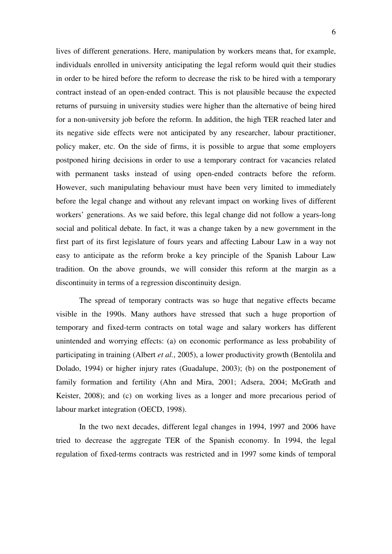lives of different generations. Here, manipulation by workers means that, for example, individuals enrolled in university anticipating the legal reform would quit their studies in order to be hired before the reform to decrease the risk to be hired with a temporary contract instead of an open-ended contract. This is not plausible because the expected returns of pursuing in university studies were higher than the alternative of being hired for a non-university job before the reform. In addition, the high TER reached later and its negative side effects were not anticipated by any researcher, labour practitioner, policy maker, etc. On the side of firms, it is possible to argue that some employers postponed hiring decisions in order to use a temporary contract for vacancies related with permanent tasks instead of using open-ended contracts before the reform. However, such manipulating behaviour must have been very limited to immediately before the legal change and without any relevant impact on working lives of different workers' generations. As we said before, this legal change did not follow a years-long social and political debate. In fact, it was a change taken by a new government in the first part of its first legislature of fours years and affecting Labour Law in a way not easy to anticipate as the reform broke a key principle of the Spanish Labour Law tradition. On the above grounds, we will consider this reform at the margin as a discontinuity in terms of a regression discontinuity design.

The spread of temporary contracts was so huge that negative effects became visible in the 1990s. Many authors have stressed that such a huge proportion of temporary and fixed-term contracts on total wage and salary workers has different unintended and worrying effects: (a) on economic performance as less probability of participating in training (Albert *et al.*, 2005), a lower productivity growth (Bentolila and Dolado, 1994) or higher injury rates (Guadalupe, 2003); (b) on the postponement of family formation and fertility (Ahn and Mira, 2001; Adsera, 2004; McGrath and Keister, 2008); and (c) on working lives as a longer and more precarious period of labour market integration (OECD, 1998).

In the two next decades, different legal changes in 1994, 1997 and 2006 have tried to decrease the aggregate TER of the Spanish economy. In 1994, the legal regulation of fixed-terms contracts was restricted and in 1997 some kinds of temporal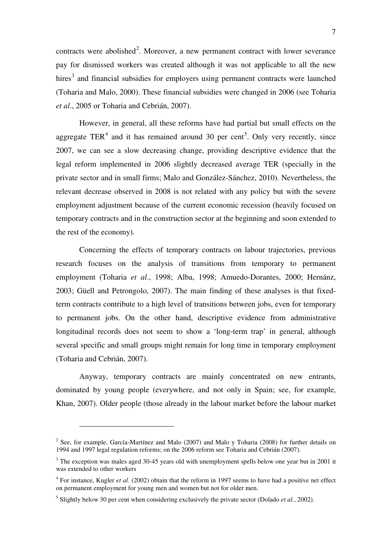contracts were abolished<sup>[2](#page-7-0)</sup>. Moreover, a new permanent contract with lower severance pay for dismissed workers was created although it was not applicable to all the new hires<sup>[3](#page-7-1)</sup> and financial subsidies for employers using permanent contracts were launched (Toharia and Malo, 2000). These financial subsidies were changed in 2006 (see Toharia *et al*., 2005 or Toharia and Cebrián, 2007).

However, in general, all these reforms have had partial but small effects on the aggregate TER<sup>[4](#page-7-2)</sup> and it has remained around 30 per cent<sup>[5](#page-7-3)</sup>. Only very recently, since 2007, we can see a slow decreasing change, providing descriptive evidence that the legal reform implemented in 2006 slightly decreased average TER (specially in the private sector and in small firms; Malo and González-Sánchez, 2010). Nevertheless, the relevant decrease observed in 2008 is not related with any policy but with the severe employment adjustment because of the current economic recession (heavily focused on temporary contracts and in the construction sector at the beginning and soon extended to the rest of the economy).

Concerning the effects of temporary contracts on labour trajectories, previous research focuses on the analysis of transitions from temporary to permanent employment (Toharia *et al*., 1998; Alba, 1998; Amuedo-Dorantes, 2000; Hernánz, 2003; Güell and Petrongolo, 2007). The main finding of these analyses is that fixedterm contracts contribute to a high level of transitions between jobs, even for temporary to permanent jobs. On the other hand, descriptive evidence from administrative longitudinal records does not seem to show a 'long-term trap' in general, although several specific and small groups might remain for long time in temporary employment (Toharia and Cebrián, 2007).

Anyway, temporary contracts are mainly concentrated on new entrants, dominated by young people (everywhere, and not only in Spain; see, for example, Khan, 2007). Older people (those already in the labour market before the labour market

<span id="page-7-0"></span> $2^{2}$  See, for example, García-Martínez and Malo (2007) and Malo y Toharia (2008) for further details on 1994 and 1997 legal regulation reforms; on the 2006 reform see Toharia and Cebrián (2007).

<span id="page-7-1"></span><sup>&</sup>lt;sup>3</sup> The exception was males aged 30-45 years old with unemployment spells below one year but in 2001 it was extended to other workers

<span id="page-7-2"></span><sup>&</sup>lt;sup>4</sup> For instance, Kugler *et al.* (2002) obtain that the reform in 1997 seems to have had a positive net effect on permanent employment for young men and women but not for older men.

<span id="page-7-3"></span><sup>5</sup> Slightly below 30 per cent when considering exclusively the private sector (Dolado *et al.*, 2002).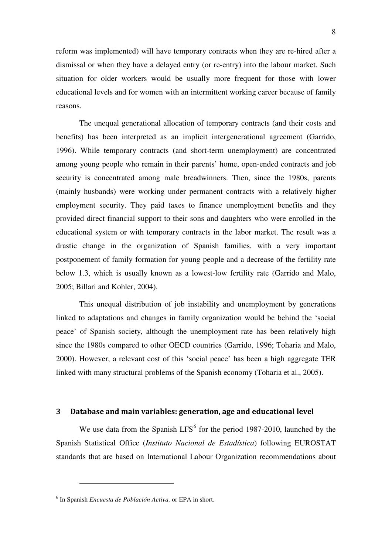reform was implemented) will have temporary contracts when they are re-hired after a dismissal or when they have a delayed entry (or re-entry) into the labour market. Such situation for older workers would be usually more frequent for those with lower educational levels and for women with an intermittent working career because of family reasons.

The unequal generational allocation of temporary contracts (and their costs and benefits) has been interpreted as an implicit intergenerational agreement (Garrido, 1996). While temporary contracts (and short-term unemployment) are concentrated among young people who remain in their parents' home, open-ended contracts and job security is concentrated among male breadwinners. Then, since the 1980s, parents (mainly husbands) were working under permanent contracts with a relatively higher employment security. They paid taxes to finance unemployment benefits and they provided direct financial support to their sons and daughters who were enrolled in the educational system or with temporary contracts in the labor market. The result was a drastic change in the organization of Spanish families, with a very important postponement of family formation for young people and a decrease of the fertility rate below 1.3, which is usually known as a lowest-low fertility rate (Garrido and Malo, 2005; Billari and Kohler, 2004).

This unequal distribution of job instability and unemployment by generations linked to adaptations and changes in family organization would be behind the 'social peace' of Spanish society, although the unemployment rate has been relatively high since the 1980s compared to other OECD countries (Garrido, 1996; Toharia and Malo, 2000). However, a relevant cost of this 'social peace' has been a high aggregate TER linked with many structural problems of the Spanish economy (Toharia et al., 2005).

#### **3 Database and main variables: generation, age and educational level**

We use data from the Spanish  $LFS^6$  $LFS^6$  for the period 1987-2010, launched by the Spanish Statistical Office (*Instituto Nacional de Estadística*) following EUROSTAT standards that are based on International Labour Organization recommendations about

<span id="page-8-0"></span><sup>6</sup> In Spanish *Encuesta de Población Activa,* or EPA in short.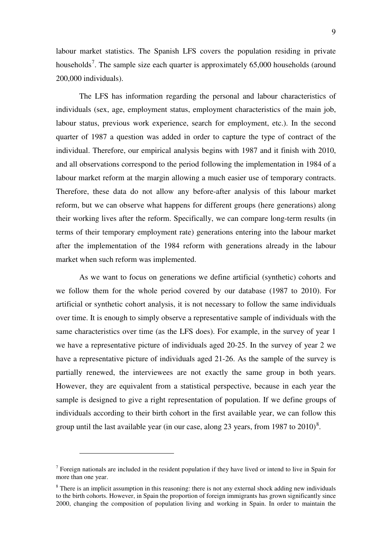labour market statistics. The Spanish LFS covers the population residing in private households<sup>[7](#page-9-0)</sup>. The sample size each quarter is approximately  $65,000$  households (around 200,000 individuals).

The LFS has information regarding the personal and labour characteristics of individuals (sex, age, employment status, employment characteristics of the main job, labour status, previous work experience, search for employment, etc.). In the second quarter of 1987 a question was added in order to capture the type of contract of the individual. Therefore, our empirical analysis begins with 1987 and it finish with 2010, and all observations correspond to the period following the implementation in 1984 of a labour market reform at the margin allowing a much easier use of temporary contracts. Therefore, these data do not allow any before-after analysis of this labour market reform, but we can observe what happens for different groups (here generations) along their working lives after the reform. Specifically, we can compare long-term results (in terms of their temporary employment rate) generations entering into the labour market after the implementation of the 1984 reform with generations already in the labour market when such reform was implemented.

As we want to focus on generations we define artificial (synthetic) cohorts and we follow them for the whole period covered by our database (1987 to 2010). For artificial or synthetic cohort analysis, it is not necessary to follow the same individuals over time. It is enough to simply observe a representative sample of individuals with the same characteristics over time (as the LFS does). For example, in the survey of year 1 we have a representative picture of individuals aged 20-25. In the survey of year 2 we have a representative picture of individuals aged 21-26. As the sample of the survey is partially renewed, the interviewees are not exactly the same group in both years. However, they are equivalent from a statistical perspective, because in each year the sample is designed to give a right representation of population. If we define groups of individuals according to their birth cohort in the first available year, we can follow this group until the last available year (in our case, along 23 years, from 19[8](#page-9-1)7 to  $2010$ )<sup>8</sup>.

<span id="page-9-0"></span> $<sup>7</sup>$  Foreign nationals are included in the resident population if they have lived or intend to live in Spain for</sup> more than one year.

<span id="page-9-1"></span> $8$  There is an implicit assumption in this reasoning: there is not any external shock adding new individuals to the birth cohorts. However, in Spain the proportion of foreign immigrants has grown significantly since 2000, changing the composition of population living and working in Spain. In order to maintain the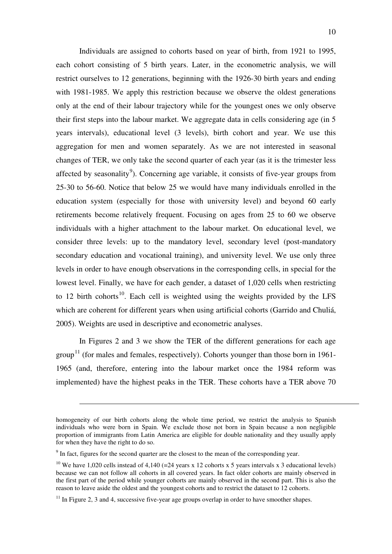Individuals are assigned to cohorts based on year of birth, from 1921 to 1995, each cohort consisting of 5 birth years. Later, in the econometric analysis, we will restrict ourselves to 12 generations, beginning with the 1926-30 birth years and ending with 1981-1985. We apply this restriction because we observe the oldest generations only at the end of their labour trajectory while for the youngest ones we only observe their first steps into the labour market. We aggregate data in cells considering age (in 5 years intervals), educational level (3 levels), birth cohort and year. We use this aggregation for men and women separately. As we are not interested in seasonal changes of TER, we only take the second quarter of each year (as it is the trimester less affected by seasonality<sup>[9](#page-10-0)</sup>). Concerning age variable, it consists of five-year groups from 25-30 to 56-60. Notice that below 25 we would have many individuals enrolled in the education system (especially for those with university level) and beyond 60 early retirements become relatively frequent. Focusing on ages from 25 to 60 we observe individuals with a higher attachment to the labour market. On educational level, we consider three levels: up to the mandatory level, secondary level (post-mandatory secondary education and vocational training), and university level. We use only three levels in order to have enough observations in the corresponding cells, in special for the lowest level. Finally, we have for each gender, a dataset of 1,020 cells when restricting to 12 birth cohorts<sup>[10](#page-10-1)</sup>. Each cell is weighted using the weights provided by the LFS which are coherent for different years when using artificial cohorts (Garrido and Chuliá, 2005). Weights are used in descriptive and econometric analyses.

In Figures 2 and 3 we show the TER of the different generations for each age group<sup>[11](#page-10-2)</sup> (for males and females, respectively). Cohorts younger than those born in 1961-1965 (and, therefore, entering into the labour market once the 1984 reform was implemented) have the highest peaks in the TER. These cohorts have a TER above 70

homogeneity of our birth cohorts along the whole time period, we restrict the analysis to Spanish individuals who were born in Spain. We exclude those not born in Spain because a non negligible proportion of immigrants from Latin America are eligible for double nationality and they usually apply for when they have the right to do so.

 $9<sup>9</sup>$  In fact, figures for the second quarter are the closest to the mean of the corresponding year.

<span id="page-10-1"></span><span id="page-10-0"></span><sup>&</sup>lt;sup>10</sup> We have 1,020 cells instead of 4,140 (=24 years x 12 cohorts x 5 years intervals x 3 educational levels) because we can not follow all cohorts in all covered years. In fact older cohorts are mainly observed in the first part of the period while younger cohorts are mainly observed in the second part. This is also the reason to leave aside the oldest and the youngest cohorts and to restrict the dataset to 12 cohorts.

<span id="page-10-2"></span> $11$  In Figure 2, 3 and 4, successive five-year age groups overlap in order to have smoother shapes.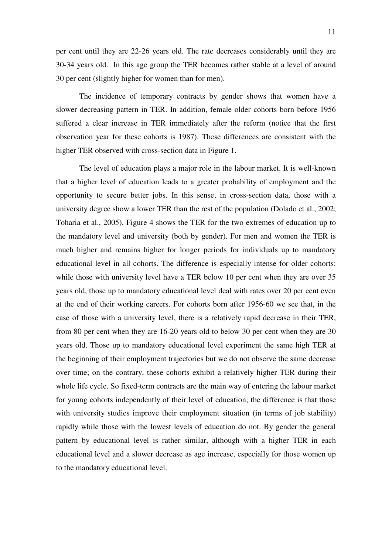per cent until they are 22-26 years old. The rate decreases considerably until they are 30-34 years old. In this age group the TER becomes rather stable at a level of around 30 per cent (slightly higher for women than for men).

The incidence of temporary contracts by gender shows that women have a slower decreasing pattern in TER. In addition, female older cohorts born before 1956 suffered a clear increase in TER immediately after the reform (notice that the first observation year for these cohorts is 1987). These differences are consistent with the higher TER observed with cross-section data in Figure 1.

The level of education plays a major role in the labour market. It is well-known that a higher level of education leads to a greater probability of employment and the opportunity to secure better jobs. In this sense, in cross-section data, those with a university degree show a lower TER than the rest of the population (Dolado et al., 2002; Toharia et al., 2005). Figure 4 shows the TER for the two extremes of education up to the mandatory level and university (both by gender). For men and women the TER is much higher and remains higher for longer periods for individuals up to mandatory educational level in all cohorts. The difference is especially intense for older cohorts: while those with university level have a TER below 10 per cent when they are over 35 years old, those up to mandatory educational level deal with rates over 20 per cent even at the end of their working careers. For cohorts born after 1956-60 we see that, in the case of those with a university level, there is a relatively rapid decrease in their TER, from 80 per cent when they are 16-20 years old to below 30 per cent when they are 30 years old. Those up to mandatory educational level experiment the same high TER at the beginning of their employment trajectories but we do not observe the same decrease over time; on the contrary, these cohorts exhibit a relatively higher TER during their whole life cycle. So fixed-term contracts are the main way of entering the labour market for young cohorts independently of their level of education; the difference is that those with university studies improve their employment situation (in terms of job stability) rapidly while those with the lowest levels of education do not. By gender the general pattern by educational level is rather similar, although with a higher TER in each educational level and a slower decrease as age increase, especially for those women up to the mandatory educational level.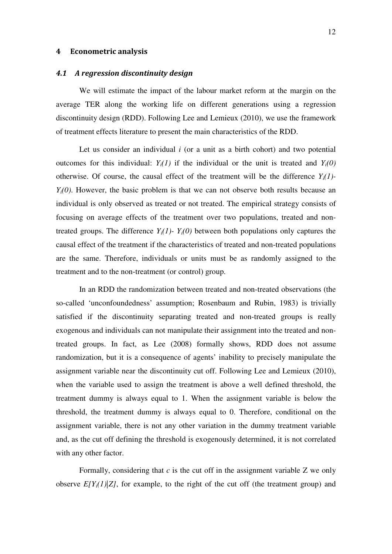#### **4 Econometric analysis**

#### *4.1 A regression discontinuity design*

We will estimate the impact of the labour market reform at the margin on the average TER along the working life on different generations using a regression discontinuity design (RDD). Following Lee and Lemieux (2010), we use the framework of treatment effects literature to present the main characteristics of the RDD.

Let us consider an individual *i* (or a unit as a birth cohort) and two potential outcomes for this individual:  $Y_i(1)$  if the individual or the unit is treated and  $Y_i(0)$ otherwise. Of course, the causal effect of the treatment will be the difference  $Y_i(1)$ - $Y_i(0)$ . However, the basic problem is that we can not observe both results because an individual is only observed as treated or not treated. The empirical strategy consists of focusing on average effects of the treatment over two populations, treated and nontreated groups. The difference  $Y_i(1)$ -  $Y_i(0)$  between both populations only captures the causal effect of the treatment if the characteristics of treated and non-treated populations are the same. Therefore, individuals or units must be as randomly assigned to the treatment and to the non-treatment (or control) group.

In an RDD the randomization between treated and non-treated observations (the so-called 'unconfoundedness' assumption; Rosenbaum and Rubin, 1983) is trivially satisfied if the discontinuity separating treated and non-treated groups is really exogenous and individuals can not manipulate their assignment into the treated and nontreated groups. In fact, as Lee (2008) formally shows, RDD does not assume randomization, but it is a consequence of agents' inability to precisely manipulate the assignment variable near the discontinuity cut off. Following Lee and Lemieux (2010), when the variable used to assign the treatment is above a well defined threshold, the treatment dummy is always equal to 1. When the assignment variable is below the threshold, the treatment dummy is always equal to 0. Therefore, conditional on the assignment variable, there is not any other variation in the dummy treatment variable and, as the cut off defining the threshold is exogenously determined, it is not correlated with any other factor.

Formally, considering that *c* is the cut off in the assignment variable Z we only observe  $E[Y_i(1)|Z]$ , for example, to the right of the cut off (the treatment group) and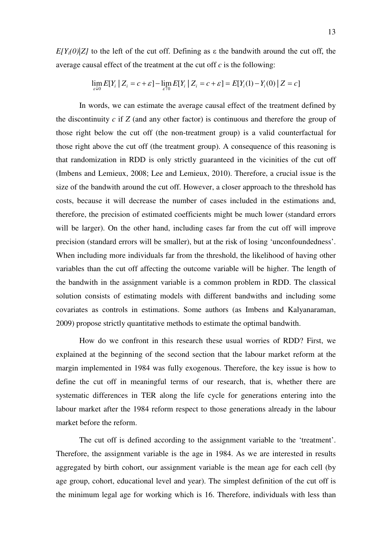$E[Y_i(0)|Z]$  to the left of the cut off. Defining as  $\varepsilon$  the bandwith around the cut off, the average causal effect of the treatment at the cut off *c* is the following:

$$
\lim_{\varepsilon \downarrow 0} E[Y_i | Z_i = c + \varepsilon] - \lim_{\varepsilon \uparrow 0} E[Y_i | Z_i = c + \varepsilon] = E[Y_i(1) - Y_i(0) | Z = c]
$$

In words, we can estimate the average causal effect of the treatment defined by the discontinuity *c* if *Z* (and any other factor) is continuous and therefore the group of those right below the cut off (the non-treatment group) is a valid counterfactual for those right above the cut off (the treatment group). A consequence of this reasoning is that randomization in RDD is only strictly guaranteed in the vicinities of the cut off (Imbens and Lemieux, 2008; Lee and Lemieux, 2010). Therefore, a crucial issue is the size of the bandwith around the cut off. However, a closer approach to the threshold has costs, because it will decrease the number of cases included in the estimations and, therefore, the precision of estimated coefficients might be much lower (standard errors will be larger). On the other hand, including cases far from the cut off will improve precision (standard errors will be smaller), but at the risk of losing 'unconfoundedness'. When including more individuals far from the threshold, the likelihood of having other variables than the cut off affecting the outcome variable will be higher. The length of the bandwith in the assignment variable is a common problem in RDD. The classical solution consists of estimating models with different bandwiths and including some covariates as controls in estimations. Some authors (as Imbens and Kalyanaraman, 2009) propose strictly quantitative methods to estimate the optimal bandwith.

How do we confront in this research these usual worries of RDD? First, we explained at the beginning of the second section that the labour market reform at the margin implemented in 1984 was fully exogenous. Therefore, the key issue is how to define the cut off in meaningful terms of our research, that is, whether there are systematic differences in TER along the life cycle for generations entering into the labour market after the 1984 reform respect to those generations already in the labour market before the reform.

The cut off is defined according to the assignment variable to the 'treatment'. Therefore, the assignment variable is the age in 1984. As we are interested in results aggregated by birth cohort, our assignment variable is the mean age for each cell (by age group, cohort, educational level and year). The simplest definition of the cut off is the minimum legal age for working which is 16. Therefore, individuals with less than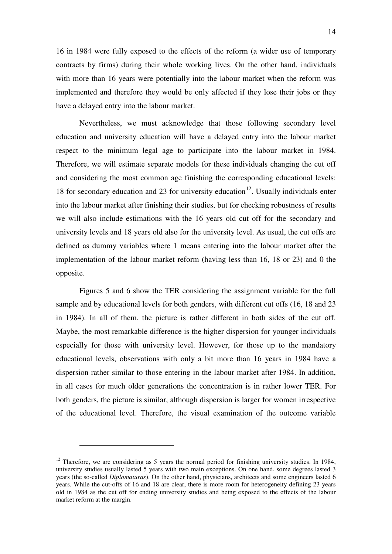16 in 1984 were fully exposed to the effects of the reform (a wider use of temporary contracts by firms) during their whole working lives. On the other hand, individuals with more than 16 years were potentially into the labour market when the reform was implemented and therefore they would be only affected if they lose their jobs or they have a delayed entry into the labour market.

Nevertheless, we must acknowledge that those following secondary level education and university education will have a delayed entry into the labour market respect to the minimum legal age to participate into the labour market in 1984. Therefore, we will estimate separate models for these individuals changing the cut off and considering the most common age finishing the corresponding educational levels: 18 for secondary education and 23 for university education<sup>[12](#page-14-0)</sup>. Usually individuals enter into the labour market after finishing their studies, but for checking robustness of results we will also include estimations with the 16 years old cut off for the secondary and university levels and 18 years old also for the university level. As usual, the cut offs are defined as dummy variables where 1 means entering into the labour market after the implementation of the labour market reform (having less than 16, 18 or 23) and 0 the opposite.

Figures 5 and 6 show the TER considering the assignment variable for the full sample and by educational levels for both genders, with different cut offs (16, 18 and 23 in 1984). In all of them, the picture is rather different in both sides of the cut off. Maybe, the most remarkable difference is the higher dispersion for younger individuals especially for those with university level. However, for those up to the mandatory educational levels, observations with only a bit more than 16 years in 1984 have a dispersion rather similar to those entering in the labour market after 1984. In addition, in all cases for much older generations the concentration is in rather lower TER. For both genders, the picture is similar, although dispersion is larger for women irrespective of the educational level. Therefore, the visual examination of the outcome variable

<span id="page-14-0"></span><sup>&</sup>lt;sup>12</sup> Therefore, we are considering as 5 years the normal period for finishing university studies. In 1984, university studies usually lasted 5 years with two main exceptions. On one hand, some degrees lasted 3 years (the so-called *Diplomaturas*). On the other hand, physicians, architects and some engineers lasted 6 years. While the cut-offs of 16 and 18 are clear, there is more room for heterogeneity defining 23 years old in 1984 as the cut off for ending university studies and being exposed to the effects of the labour market reform at the margin.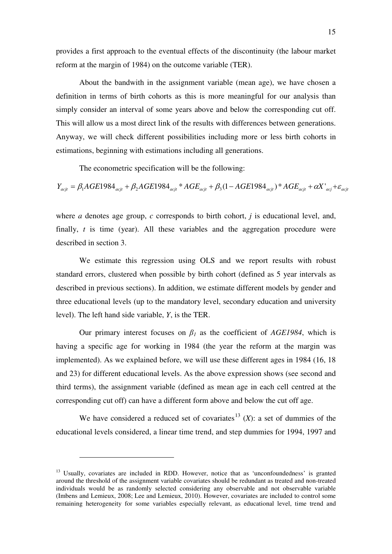provides a first approach to the eventual effects of the discontinuity (the labour market reform at the margin of 1984) on the outcome variable (TER).

About the bandwith in the assignment variable (mean age), we have chosen a definition in terms of birth cohorts as this is more meaningful for our analysis than simply consider an interval of some years above and below the corresponding cut off. This will allow us a most direct link of the results with differences between generations. Anyway, we will check different possibilities including more or less birth cohorts in estimations, beginning with estimations including all generations.

The econometric specification will be the following:

 $Y_{acjt} = \beta_1 AGE1984_{acjt} + \beta_2 AGE1984_{acjt} * AGE_{acjt} + \beta_3 (1 - AGE1984_{acjt}) * AGE_{acjt} + \alpha X'_{acj} + \varepsilon_{acjt}$ 

where *a* denotes age group, *c* corresponds to birth cohort, *j* is educational level, and, finally, *t* is time (year). All these variables and the aggregation procedure were described in section 3.

We estimate this regression using OLS and we report results with robust standard errors, clustered when possible by birth cohort (defined as 5 year intervals as described in previous sections). In addition, we estimate different models by gender and three educational levels (up to the mandatory level, secondary education and university level). The left hand side variable, *Y*, is the TER.

Our primary interest focuses on  $\beta_l$  as the coefficient of *AGE1984*, which is having a specific age for working in 1984 (the year the reform at the margin was implemented). As we explained before, we will use these different ages in 1984 (16, 18 and 23) for different educational levels. As the above expression shows (see second and third terms), the assignment variable (defined as mean age in each cell centred at the corresponding cut off) can have a different form above and below the cut off age.

We have considered a reduced set of covariates<sup>[13](#page-15-0)</sup> (*X*): a set of dummies of the educational levels considered, a linear time trend, and step dummies for 1994, 1997 and

<span id="page-15-0"></span><sup>&</sup>lt;sup>13</sup> Usually, covariates are included in RDD. However, notice that as 'unconfoundedness' is granted around the threshold of the assignment variable covariates should be redundant as treated and non-treated individuals would be as randomly selected considering any observable and not observable variable (Imbens and Lemieux, 2008; Lee and Lemieux, 2010). However, covariates are included to control some remaining heterogeneity for some variables especially relevant, as educational level, time trend and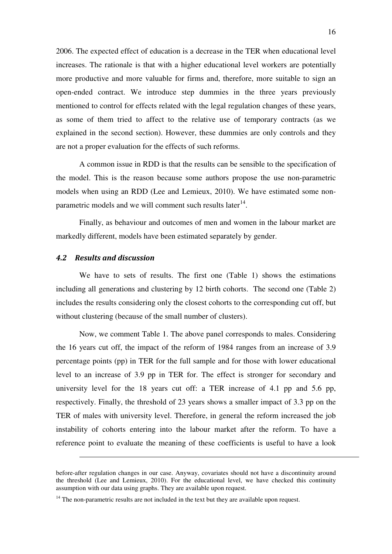2006. The expected effect of education is a decrease in the TER when educational level increases. The rationale is that with a higher educational level workers are potentially more productive and more valuable for firms and, therefore, more suitable to sign an open-ended contract. We introduce step dummies in the three years previously mentioned to control for effects related with the legal regulation changes of these years, as some of them tried to affect to the relative use of temporary contracts (as we explained in the second section). However, these dummies are only controls and they are not a proper evaluation for the effects of such reforms.

A common issue in RDD is that the results can be sensible to the specification of the model. This is the reason because some authors propose the use non-parametric models when using an RDD (Lee and Lemieux, 2010). We have estimated some nonparametric models and we will comment such results later $14$ .

Finally, as behaviour and outcomes of men and women in the labour market are markedly different, models have been estimated separately by gender.

## *4.2 Results and discussion*

 $\overline{a}$ 

We have to sets of results. The first one (Table 1) shows the estimations including all generations and clustering by 12 birth cohorts. The second one (Table 2) includes the results considering only the closest cohorts to the corresponding cut off, but without clustering (because of the small number of clusters).

Now, we comment Table 1. The above panel corresponds to males. Considering the 16 years cut off, the impact of the reform of 1984 ranges from an increase of 3.9 percentage points (pp) in TER for the full sample and for those with lower educational level to an increase of 3.9 pp in TER for. The effect is stronger for secondary and university level for the 18 years cut off: a TER increase of 4.1 pp and 5.6 pp, respectively. Finally, the threshold of 23 years shows a smaller impact of 3.3 pp on the TER of males with university level. Therefore, in general the reform increased the job instability of cohorts entering into the labour market after the reform. To have a reference point to evaluate the meaning of these coefficients is useful to have a look

before-after regulation changes in our case. Anyway, covariates should not have a discontinuity around the threshold (Lee and Lemieux, 2010). For the educational level, we have checked this continuity assumption with our data using graphs. They are available upon request.

<span id="page-16-0"></span> $14$  The non-parametric results are not included in the text but they are available upon request.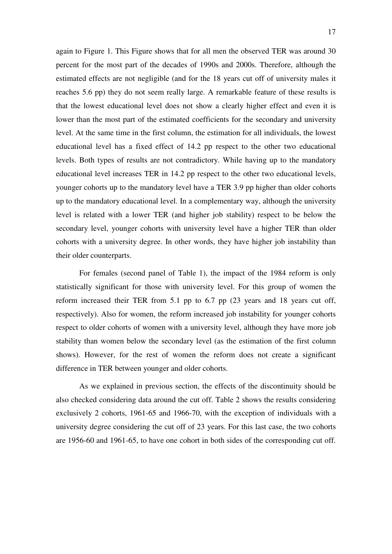again to Figure 1. This Figure shows that for all men the observed TER was around 30 percent for the most part of the decades of 1990s and 2000s. Therefore, although the estimated effects are not negligible (and for the 18 years cut off of university males it reaches 5.6 pp) they do not seem really large. A remarkable feature of these results is that the lowest educational level does not show a clearly higher effect and even it is lower than the most part of the estimated coefficients for the secondary and university level. At the same time in the first column, the estimation for all individuals, the lowest educational level has a fixed effect of 14.2 pp respect to the other two educational levels. Both types of results are not contradictory. While having up to the mandatory educational level increases TER in 14.2 pp respect to the other two educational levels, younger cohorts up to the mandatory level have a TER 3.9 pp higher than older cohorts up to the mandatory educational level. In a complementary way, although the university level is related with a lower TER (and higher job stability) respect to be below the secondary level, younger cohorts with university level have a higher TER than older cohorts with a university degree. In other words, they have higher job instability than their older counterparts.

For females (second panel of Table 1), the impact of the 1984 reform is only statistically significant for those with university level. For this group of women the reform increased their TER from 5.1 pp to 6.7 pp (23 years and 18 years cut off, respectively). Also for women, the reform increased job instability for younger cohorts respect to older cohorts of women with a university level, although they have more job stability than women below the secondary level (as the estimation of the first column shows). However, for the rest of women the reform does not create a significant difference in TER between younger and older cohorts.

As we explained in previous section, the effects of the discontinuity should be also checked considering data around the cut off. Table 2 shows the results considering exclusively 2 cohorts, 1961-65 and 1966-70, with the exception of individuals with a university degree considering the cut off of 23 years. For this last case, the two cohorts are 1956-60 and 1961-65, to have one cohort in both sides of the corresponding cut off.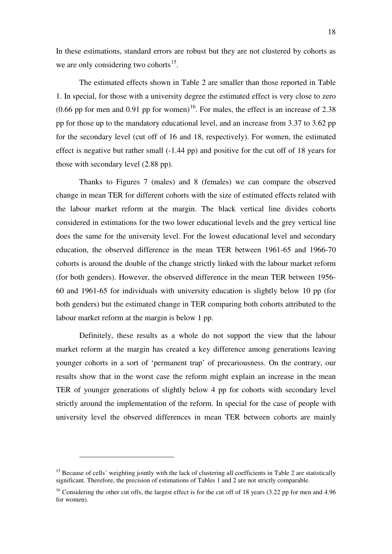In these estimations, standard errors are robust but they are not clustered by cohorts as we are only considering two cohorts $^{15}$  $^{15}$  $^{15}$ .

The estimated effects shown in Table 2 are smaller than those reported in Table 1. In special, for those with a university degree the estimated effect is very close to zero  $(0.66 \text{ pp}$  for men and  $0.91 \text{ pp}$  for women)<sup>[16](#page-18-1)</sup>. For males, the effect is an increase of 2.38 pp for those up to the mandatory educational level, and an increase from 3.37 to 3.62 pp for the secondary level (cut off of 16 and 18, respectively). For women, the estimated effect is negative but rather small (-1.44 pp) and positive for the cut off of 18 years for those with secondary level (2.88 pp).

Thanks to Figures 7 (males) and 8 (females) we can compare the observed change in mean TER for different cohorts with the size of estimated effects related with the labour market reform at the margin. The black vertical line divides cohorts considered in estimations for the two lower educational levels and the grey vertical line does the same for the university level. For the lowest educational level and secondary education, the observed difference in the mean TER between 1961-65 and 1966-70 cohorts is around the double of the change strictly linked with the labour market reform (for both genders). However, the observed difference in the mean TER between 1956- 60 and 1961-65 for individuals with university education is slightly below 10 pp (for both genders) but the estimated change in TER comparing both cohorts attributed to the labour market reform at the margin is below 1 pp.

Definitely, these results as a whole do not support the view that the labour market reform at the margin has created a key difference among generations leaving younger cohorts in a sort of 'permanent trap' of precariousness. On the contrary, our results show that in the worst case the reform might explain an increase in the mean TER of younger generations of slightly below 4 pp for cohorts with secondary level strictly around the implementation of the reform. In special for the case of people with university level the observed differences in mean TER between cohorts are mainly

<span id="page-18-0"></span><sup>&</sup>lt;sup>15</sup> Because of cells' weighting jointly with the lack of clustering all coefficients in Table 2 are statistically significant. Therefore, the precision of estimations of Tables 1 and 2 are not strictly comparable.

<span id="page-18-1"></span><sup>&</sup>lt;sup>16</sup> Considering the other cut offs, the largest effect is for the cut off of 18 years (3.22 pp for men and 4.96 for women).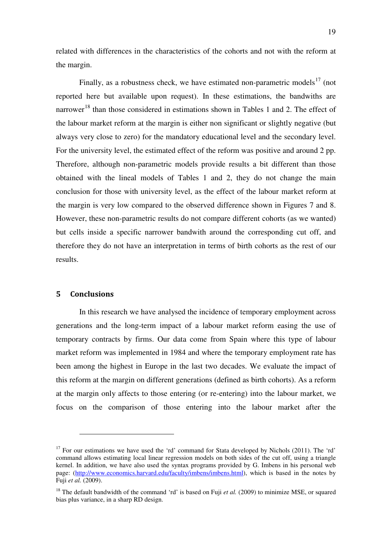related with differences in the characteristics of the cohorts and not with the reform at the margin.

Finally, as a robustness check, we have estimated non-parametric models $^{17}$  $^{17}$  $^{17}$  (not reported here but available upon request). In these estimations, the bandwiths are narrower<sup>[18](#page-19-1)</sup> than those considered in estimations shown in Tables 1 and 2. The effect of the labour market reform at the margin is either non significant or slightly negative (but always very close to zero) for the mandatory educational level and the secondary level. For the university level, the estimated effect of the reform was positive and around 2 pp. Therefore, although non-parametric models provide results a bit different than those obtained with the lineal models of Tables 1 and 2, they do not change the main conclusion for those with university level, as the effect of the labour market reform at the margin is very low compared to the observed difference shown in Figures 7 and 8. However, these non-parametric results do not compare different cohorts (as we wanted) but cells inside a specific narrower bandwith around the corresponding cut off, and therefore they do not have an interpretation in terms of birth cohorts as the rest of our results.

## **5 Conclusions**

 $\overline{a}$ 

In this research we have analysed the incidence of temporary employment across generations and the long-term impact of a labour market reform easing the use of temporary contracts by firms. Our data come from Spain where this type of labour market reform was implemented in 1984 and where the temporary employment rate has been among the highest in Europe in the last two decades. We evaluate the impact of this reform at the margin on different generations (defined as birth cohorts). As a reform at the margin only affects to those entering (or re-entering) into the labour market, we focus on the comparison of those entering into the labour market after the

<span id="page-19-0"></span> $17$  For our estimations we have used the 'rd' command for Stata developed by Nichols (2011). The 'rd' command allows estimating local linear regression models on both sides of the cut off, using a triangle kernel. In addition, we have also used the syntax programs provided by G. Imbens in his personal web page: (http://www.economics.harvard.edu/faculty/imbens/imbens.html), which is based in the notes by Fuji *et al.* (2009).

<span id="page-19-1"></span><sup>&</sup>lt;sup>18</sup> The default bandwidth of the command 'rd' is based on Fuji *et al.* (2009) to minimize MSE, or squared bias plus variance, in a sharp RD design.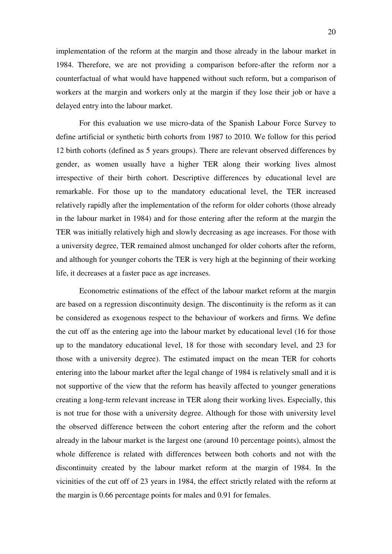implementation of the reform at the margin and those already in the labour market in 1984. Therefore, we are not providing a comparison before-after the reform nor a counterfactual of what would have happened without such reform, but a comparison of workers at the margin and workers only at the margin if they lose their job or have a delayed entry into the labour market.

For this evaluation we use micro-data of the Spanish Labour Force Survey to define artificial or synthetic birth cohorts from 1987 to 2010. We follow for this period 12 birth cohorts (defined as 5 years groups). There are relevant observed differences by gender, as women usually have a higher TER along their working lives almost irrespective of their birth cohort. Descriptive differences by educational level are remarkable. For those up to the mandatory educational level, the TER increased relatively rapidly after the implementation of the reform for older cohorts (those already in the labour market in 1984) and for those entering after the reform at the margin the TER was initially relatively high and slowly decreasing as age increases. For those with a university degree, TER remained almost unchanged for older cohorts after the reform, and although for younger cohorts the TER is very high at the beginning of their working life, it decreases at a faster pace as age increases.

Econometric estimations of the effect of the labour market reform at the margin are based on a regression discontinuity design. The discontinuity is the reform as it can be considered as exogenous respect to the behaviour of workers and firms. We define the cut off as the entering age into the labour market by educational level (16 for those up to the mandatory educational level, 18 for those with secondary level, and 23 for those with a university degree). The estimated impact on the mean TER for cohorts entering into the labour market after the legal change of 1984 is relatively small and it is not supportive of the view that the reform has heavily affected to younger generations creating a long-term relevant increase in TER along their working lives. Especially, this is not true for those with a university degree. Although for those with university level the observed difference between the cohort entering after the reform and the cohort already in the labour market is the largest one (around 10 percentage points), almost the whole difference is related with differences between both cohorts and not with the discontinuity created by the labour market reform at the margin of 1984. In the vicinities of the cut off of 23 years in 1984, the effect strictly related with the reform at the margin is 0.66 percentage points for males and 0.91 for females.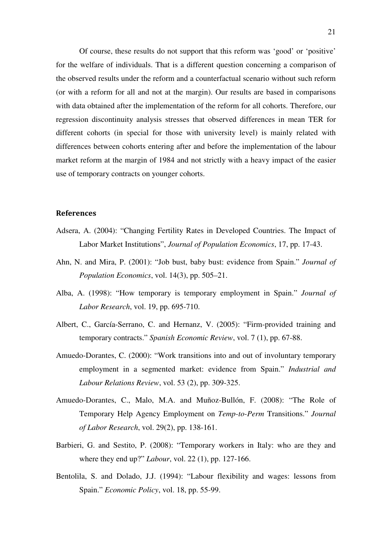Of course, these results do not support that this reform was 'good' or 'positive' for the welfare of individuals. That is a different question concerning a comparison of the observed results under the reform and a counterfactual scenario without such reform (or with a reform for all and not at the margin). Our results are based in comparisons with data obtained after the implementation of the reform for all cohorts. Therefore, our regression discontinuity analysis stresses that observed differences in mean TER for different cohorts (in special for those with university level) is mainly related with differences between cohorts entering after and before the implementation of the labour market reform at the margin of 1984 and not strictly with a heavy impact of the easier use of temporary contracts on younger cohorts.

## **References**

- Adsera, A. (2004): "Changing Fertility Rates in Developed Countries. The Impact of Labor Market Institutions", *Journal of Population Economics*, 17, pp. 17-43.
- Ahn, N. and Mira, P. (2001): "Job bust, baby bust: evidence from Spain." *Journal of Population Economics*, vol. 14(3), pp. 505–21.
- Alba, A. (1998): "How temporary is temporary employment in Spain." *Journal of Labor Research*, vol. 19, pp. 695-710.
- Albert, C., García-Serrano, C. and Hernanz, V. (2005): "Firm-provided training and temporary contracts." *Spanish Economic Review*, vol. 7 (1), pp. 67-88.
- Amuedo-Dorantes, C. (2000): "Work transitions into and out of involuntary temporary employment in a segmented market: evidence from Spain." *Industrial and Labour Relations Review*, vol. 53 (2), pp. 309-325.
- Amuedo-Dorantes, C., Malo, M.A. and Muñoz-Bullón, F. (2008): "The Role of Temporary Help Agency Employment on *Temp-to-Perm* Transitions." *Journal of Labor Research*, vol. 29(2), pp. 138-161.
- Barbieri, G. and Sestito, P. (2008): "Temporary workers in Italy: who are they and where they end up?" *Labour*, vol. 22 (1), pp. 127-166.
- Bentolila, S. and Dolado, J.J. (1994): "Labour flexibility and wages: lessons from Spain." *Economic Policy*, vol. 18, pp. 55-99.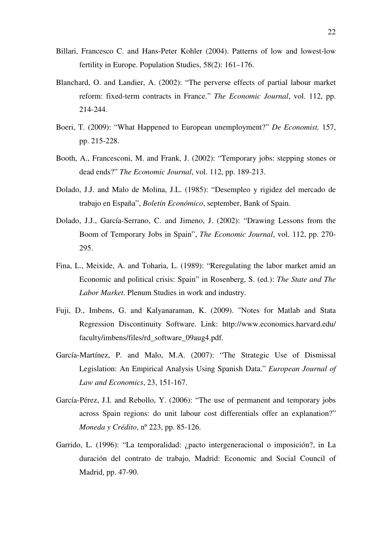- Billari, Francesco C. and Hans-Peter Kohler (2004). Patterns of low and lowest-low fertility in Europe. Population Studies, 58(2): 161–176.
- Blanchard, O. and Landier, A. (2002): "The perverse effects of partial labour market reform: fixed-term contracts in France." *The Economic Journal*, vol. 112, pp. 214-244.
- Boeri, T. (2009): "What Happened to European unemployment?" *De Economist,* 157, pp. 215-228.
- Booth, A., Francesconi, M. and Frank, J. (2002): "Temporary jobs: stepping stones or dead ends?" *The Economic Journal*, vol. 112, pp. 189-213.
- Dolado, J.J. and Malo de Molina, J.L. (1985): "Desempleo y rigidez del mercado de trabajo en España", *Boletín Económico*, september, Bank of Spain.
- Dolado, J.J., García-Serrano, C. and Jimeno, J. (2002): "Drawing Lessons from the Boom of Temporary Jobs in Spain", *The Economic Journal*, vol. 112, pp. 270- 295.
- Fina, L., Meixide, A. and Toharia, L. (1989): "Reregulating the labor market amid an Economic and political crisis: Spain" in Rosenberg, S. (ed.): *The State and The Labor Market*. Plenum Studies in work and industry.
- Fuji, D., Imbens, G. and Kalyanaraman, K. (2009). "Notes for Matlab and Stata Regression Discontinuity Software. Link: http://www.economics.harvard.edu/ faculty/imbens/files/rd\_software\_09aug4.pdf.
- García-Martínez, P. and Malo, M.A. (2007): "The Strategic Use of Dismissal Legislation: An Empirical Analysis Using Spanish Data." *European Journal of Law and Economics*, 23, 151-167.
- García-Pérez, J.I. and Rebollo, Y. (2006): "The use of permanent and temporary jobs across Spain regions: do unit labour cost differentials offer an explanation?" *Moneda y Crédito*, nº 223, pp. 85-126.
- Garrido, L. (1996): "La temporalidad: ¿pacto intergeneracional o imposición?, in La duración del contrato de trabajo, Madrid: Economic and Social Council of Madrid, pp. 47-90.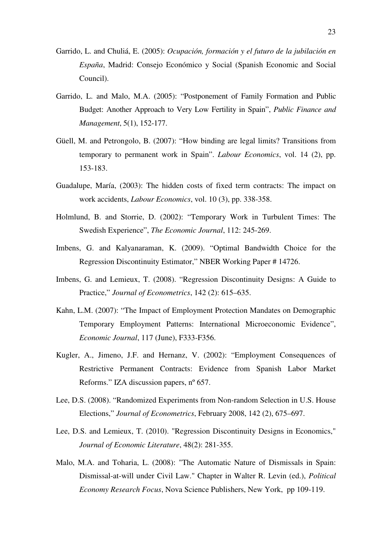- Garrido, L. and Chuliá, E. (2005): *Ocupación, formación y el futuro de la jubilación en España*, Madrid: Consejo Económico y Social (Spanish Economic and Social Council).
- Garrido, L. and Malo, M.A. (2005): "Postponement of Family Formation and Public Budget: Another Approach to Very Low Fertility in Spain", *Public Finance and Management*, 5(1), 152-177.
- Güell, M. and Petrongolo, B. (2007): "How binding are legal limits? Transitions from temporary to permanent work in Spain". *Labour Economics*, vol. 14 (2), pp. 153-183.
- Guadalupe, María, (2003): The hidden costs of fixed term contracts: The impact on work accidents, *Labour Economics*, vol. 10 (3), pp. 338-358.
- Holmlund, B. and Storrie, D. (2002): "Temporary Work in Turbulent Times: The Swedish Experience", *The Economic Journal*, 112: 245-269.
- Imbens, G. and Kalyanaraman, K. (2009). "Optimal Bandwidth Choice for the Regression Discontinuity Estimator," NBER Working Paper # 14726.
- Imbens, G. and Lemieux, T. (2008). "Regression Discontinuity Designs: A Guide to Practice," *Journal of Econometrics*, 142 (2): 615–635.
- Kahn, L.M. (2007): "The Impact of Employment Protection Mandates on Demographic Temporary Employment Patterns: International Microeconomic Evidence", *Economic Journal*, 117 (June), F333-F356.
- Kugler, A., Jimeno, J.F. and Hernanz, V. (2002): "Employment Consequences of Restrictive Permanent Contracts: Evidence from Spanish Labor Market Reforms." IZA discussion papers, nº 657.
- Lee, D.S. (2008). "Randomized Experiments from Non-random Selection in U.S. House Elections," *Journal of Econometrics*, February 2008, 142 (2), 675–697.
- Lee, D.S. and Lemieux, T. (2010). "Regression Discontinuity Designs in Economics," *Journal of Economic Literature*, 48(2): 281-355.
- Malo, M.A. and Toharia, L. (2008): "The Automatic Nature of Dismissals in Spain: Dismissal-at-will under Civil Law." Chapter in Walter R. Levin (ed.), *Political Economy Research Focus*, Nova Science Publishers, New York, pp 109-119.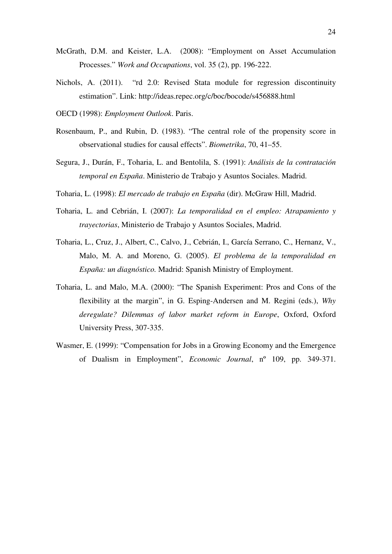- McGrath, D.M. and Keister, L.A. (2008): "Employment on Asset Accumulation Processes." *Work and Occupations*, vol. 35 (2), pp. 196-222.
- Nichols, A. (2011). "rd 2.0: Revised Stata module for regression discontinuity estimation". Link: http://ideas.repec.org/c/boc/bocode/s456888.html
- OECD (1998): *Employment Outlook*. Paris.
- Rosenbaum, P., and Rubin, D. (1983). "The central role of the propensity score in observational studies for causal effects". *Biometrika*, 70, 41–55.
- Segura, J., Durán, F., Toharia, L. and Bentolila, S. (1991): *Análisis de la contratación temporal en España*. Ministerio de Trabajo y Asuntos Sociales. Madrid.
- Toharia, L. (1998): *El mercado de trabajo en España* (dir). McGraw Hill, Madrid.
- Toharia, L. and Cebrián, I. (2007): *La temporalidad en el empleo: Atrapamiento y trayectorias*, Ministerio de Trabajo y Asuntos Sociales, Madrid.
- Toharia, L., Cruz, J., Albert, C., Calvo, J., Cebrián, I., García Serrano, C., Hernanz, V., Malo, M. A. and Moreno, G. (2005). *El problema de la temporalidad en España: un diagnóstico.* Madrid: Spanish Ministry of Employment.
- Toharia, L. and Malo, M.A. (2000): "The Spanish Experiment: Pros and Cons of the flexibility at the margin", in G. Esping-Andersen and M. Regini (eds.), *Why deregulate? Dilemmas of labor market reform in Europe*, Oxford, Oxford University Press, 307-335.
- Wasmer, E. (1999): "Compensation for Jobs in a Growing Economy and the Emergence of Dualism in Employment", *Economic Journal*, nº 109, pp. 349-371.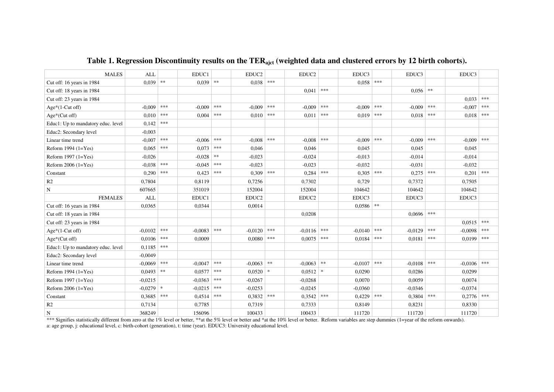| <b>MALES</b>                       | <b>ALL</b> |         | EDUC1     |            | EDUC <sub>2</sub> |           | EDUC2     |                | EDUC3       |             | EDUC3     |            | EDUC3     |         |
|------------------------------------|------------|---------|-----------|------------|-------------------|-----------|-----------|----------------|-------------|-------------|-----------|------------|-----------|---------|
| Cut off: 16 years in 1984          | 0.039      | $\gg$   | 0,039     | $\ast\ast$ | 0,038             | ***       |           |                | 0.058       | ***         |           |            |           |         |
| Cut off: 18 years in 1984          |            |         |           |            |                   |           | 0,041     | $* * *$        |             |             | 0,056     | $\ast\ast$ |           |         |
| Cut off: 23 years in 1984          |            |         |           |            |                   |           |           |                |             |             |           |            | 0.033     | $***$   |
| $Age*(1-Cut off)$                  | $-0.009$   | ***     | $-0.009$  | ***        | $-0.009$          | ***       | $-0.009$  | ***            | $-0.009$    | ***         | $-0.009$  | $* * *$    | $-0,007$  | $* * *$ |
| $Age*(Cut off)$                    | 0.010      | ***     | 0.004     | ***        | 0.010             | ***       | 0.011     | ***            | $0.019$ *** |             | 0.018     | ***        | 0,018     | $***$   |
| Educ1: Up to mandatory educ. level | 0,142      | ***     |           |            |                   |           |           |                |             |             |           |            |           |         |
| Educ2: Secondary level             | $-0.003$   |         |           |            |                   |           |           |                |             |             |           |            |           |         |
| Linear time trend                  | $-0,007$   | ***     | $-0.006$  | $* * *$    | $-0.008$          | $* * *$   | $-0.008$  | ***            | $-0.009$    | ***         | $-0.009$  | $* * *$    | $-0.009$  | $* * *$ |
| Reform $1994$ $(1=Yes)$            | 0,065      | $***$   | 0,073     | $***$      | 0,046             |           | 0.046     |                | 0,045       |             | 0,045     |            | 0,045     |         |
| Reform $1997$ ( $1 = Yes$ )        | $-0,026$   |         | $-0.028$  | $\ast\ast$ | $-0.023$          |           | $-0.024$  |                | $-0.013$    |             | $-0.014$  |            | $-0.014$  |         |
| Reform $2006$ $(1=Yes)$            | $-0.038$   | ***     | $-0.045$  | $* * *$    | $-0.023$          |           | $-0.023$  |                | $-0.032$    |             | $-0.031$  |            | $-0.032$  |         |
| Constant                           | 0,290      | ***     | 0,423     | $***$      | 0,309             | $***$     | 0,284     | $***$          | 0,305       | ***         | 0,275     | $***$      | 0,201     | $* * *$ |
| R2                                 | 0,7804     |         | 0,8119    |            | 0,7256            |           | 0,7302    |                | 0,729       |             | 0,7372    |            | 0.7505    |         |
| N                                  | 607665     |         | 351019    |            | 152004            |           | 152004    |                | 104642      |             | 104642    |            | 104642    |         |
| <b>FEMALES</b>                     | <b>ALL</b> |         | EDUC1     |            | EDUC <sub>2</sub> |           | EDUC2     |                | EDUC3       |             | EDUC3     |            | EDUC3     |         |
| Cut off: 16 years in 1984          | 0,0365     |         | 0,0344    |            | 0,0014            |           |           |                | $0,0586$ ** |             |           |            |           |         |
| Cut off: 18 years in 1984          |            |         |           |            |                   |           | 0.0208    |                |             |             | 0.0696    | ***        |           |         |
| Cut off: 23 years in 1984          |            |         |           |            |                   |           |           |                |             |             |           |            | 0,0515    | $* * *$ |
| Age*(1-Cut off)                    | $-0.0102$  | ***     | $-0,0083$ | ***        | $-0.0120$         | ***       | $-0.0116$ | $\ast\ast\ast$ | $-0.0140$   | ***         | $-0.0129$ | ***        | $-0,0098$ | ***     |
| $Age*(Cut off)$                    | 0,0106     | ***     | 0,0009    |            | 0,0080            | ***       | 0,0075    | ***            | 0,0184      | ***         | 0,0181    | ***        | 0,0199    | ***     |
| Educ1: Up to mandatory educ. level | 0,1185     | $***$   |           |            |                   |           |           |                |             |             |           |            |           |         |
| Educ2: Secondary level             | $-0,0049$  |         |           |            |                   |           |           |                |             |             |           |            |           |         |
| Linear time trend                  | $-0,0069$  | ***     | $-0.0047$ | $* * *$    | $-0.0063$         | $*\ast$   | $-0,0063$ | $\ast\ast$     | $-0.0107$   | ***         | $-0.0108$ | ***        | $-0.0106$ | $***$   |
| Reform $1994$ ( $1 = Yes$ )        | 0,0493     | $*\ast$ | 0,0577    | $***$      | 0,0520            | $\approx$ | 0.0512    | $\ast$         | 0,0290      |             | 0,0286    |            | 0.0299    |         |
| Reform 1997 (1=Yes)                | $-0.0215$  |         | $-0.0363$ | ***        | $-0,0267$         |           | $-0.0268$ |                | 0,0070      |             | 0,0059    |            | 0,0074    |         |
| Reform $2006$ $(1=Yes)$            | $-0,0279$  | $\ast$  | $-0.0215$ | $* * *$    | $-0.0253$         |           | $-0.0245$ |                | $-0.0360$   |             | $-0.0346$ |            | $-0.0374$ |         |
| Constant                           | 0,3685     | $***$   | 0,4514    | $* * *$    | 0,3832            | $* * *$   | 0,3542    | $\ast\ast\ast$ | 0,4229      | $*\ast\ast$ | 0,3804    | $***$      | 0,2776    | $***$   |
| R2                                 | 0,7134     |         | 0,7785    |            | 0,7319            |           | 0,7333    |                | 0,8149      |             | 0,8231    |            | 0,8330    |         |
| N                                  | 368249     |         | 156096    |            | 100433            |           | 100433    |                | 111720      |             | 111720    |            | 111720    |         |

# **Table 1. Regression Discontinuity results on the TERajct (weighted data and clustered errors by 12 birth cohorts).**

\*\*\* Signifies statistically different from zero at the 1% level or better, \*\*at the 5% level or better and \*at the 10% level or better. Reform variables are step dummies (1=year of the reform onwards). a: age group, j: educational level, c: birth-cohort (generation), t: time (year). EDUC3: University educational level.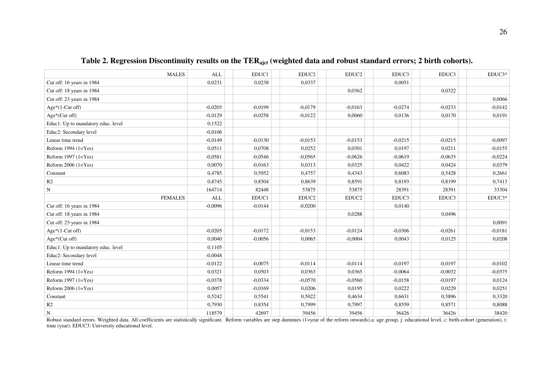| <b>MALES</b>                       | <b>ALL</b> | EDUC1     | EDUC2     | EDUC2     | EDUC3     | EDUC3     | EDUC3*    |
|------------------------------------|------------|-----------|-----------|-----------|-----------|-----------|-----------|
| Cut off: 16 years in 1984          | 0,0231     | 0,0238    | 0,0337    |           | 0,0051    |           |           |
| Cut off: 18 years in 1984          |            |           |           | 0.0362    |           | 0,0322    |           |
| Cut off: 23 years in 1984          |            |           |           |           |           |           | 0,0066    |
| $Age*(1-Cut off)$                  | $-0.0205$  | $-0.0199$ | $-0.0179$ | $-0.0163$ | $-0.0274$ | $-0.0233$ | $-0.0142$ |
| Age*(Cut off)                      | $-0.0129$  | $-0.0258$ | $-0,0122$ | 0,0060    | 0,0136    | 0,0170    | 0,0191    |
| Educ1: Up to mandatory educ. level | 0,1522     |           |           |           |           |           |           |
| Educ2: Secondary level             | $-0,0106$  |           |           |           |           |           |           |
| Linear time trend                  | $-0.0149$  | $-0.0130$ | $-0.0153$ | $-0.0153$ | $-0.0215$ | $-0,0215$ | $-0,0097$ |
| Reform $1994$ $(1=Yes)$            | 0,0511     | 0,0708    | 0,0252    | 0,0301    | 0,0197    | 0,0211    | $-0.0155$ |
| Reform 1997 (1=Yes)                | $-0,0581$  | $-0.0546$ | $-0,0565$ | $-0,0626$ | $-0,0619$ | $-0,0635$ | $-0,0224$ |
| Reform $2006$ $(1=Yes)$            | 0.0070     | $-0.0163$ | 0,0313    | 0.0325    | 0.0422    | 0.0424    | 0,0379    |
| Constant                           | 0,4785     | 0,5952    | 0,4757    | 0,4343    | 0,6083    | 0,5428    | 0,2661    |
| R2                                 | 0,8745     | 0,8504    | 0,8639    | 0,8591    | 0,8193    | 0,8199    | 0,7413    |
| ${\bf N}$                          | 164714     | 82448     | 53875     | 53875     | 28391     | 28391     | 33304     |
| <b>FEMALES</b>                     | <b>ALL</b> | EDUC1     | EDUC2     | EDUC2     | EDUC3     | EDUC3     | EDUC3*    |
| Cut off: 16 years in 1984          | $-0,0096$  | $-0.0144$ | $-0,0200$ |           | 0,0140    |           |           |
| Cut off: 18 years in 1984          |            |           |           | 0,0288    |           | 0.0496    |           |
| Cut off: 23 years in 1984          |            |           |           |           |           |           | 0,0091    |
| Age*(1-Cut off)                    | $-0.0205$  | $-0.0172$ | $-0.0153$ | $-0.0124$ | $-0.0306$ | $-0.0261$ | $-0.0181$ |
| Age*(Cut off)                      | 0,0040     | $-0.0056$ | 0,0065    | $-0,0004$ | 0,0043    | 0,0125    | 0,0208    |
| Educ1: Up to mandatory educ. level | 0,1105     |           |           |           |           |           |           |
| Educ2: Secondary level             | $-0,0048$  |           |           |           |           |           |           |
| Linear time trend                  | $-0,0122$  | $-0.0075$ | $-0.0114$ | $-0.0114$ | $-0.0197$ | $-0.0197$ | $-0,0102$ |
| Reform $1994$ $(1=Yes)$            | 0,0321     | 0,0503    | 0,0363    | 0.0365    | $-0,0064$ | $-0,0032$ | $-0.0375$ |
| Reform $1997$ $(1=Yes)$            | $-0.0378$  | $-0.0334$ | $-0.0570$ | $-0.0560$ | $-0.0158$ | $-0.0197$ | 0,0124    |
| Reform $2006$ $(1=Yes)$            | 0,0057     | $-0.0169$ | 0,0206    | 0,0195    | 0,0222    | 0,0229    | 0,0251    |
| Constant                           | 0,5242     | 0,5541    | 0,5022    | 0,4634    | 0,6631    | 0,5896    | 0,3320    |
| R2                                 | 0,7930     | 0,8354    | 0,7999    | 0,7997    | 0,8559    | 0,8571    | 0,8088    |
| N                                  | 118579     | 42697     | 39456     | 39456     | 36426     | 36426     | 38420     |

# **Table 2. Regression Discontinuity results on the TERajct (weighted data and robust standard errors; 2 birth cohorts).**

Robust standard errors. Weighted data. All coefficients are statistically significant. Reform variables are step dummies (1=year of the reform onwards).a: age group, j: educational level, c: birth-cohort (generation), t: time (year). EDUC3: University educational level.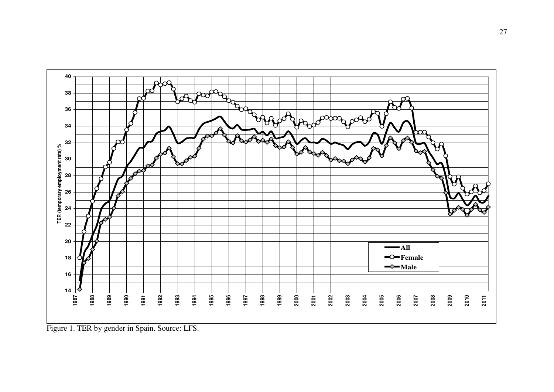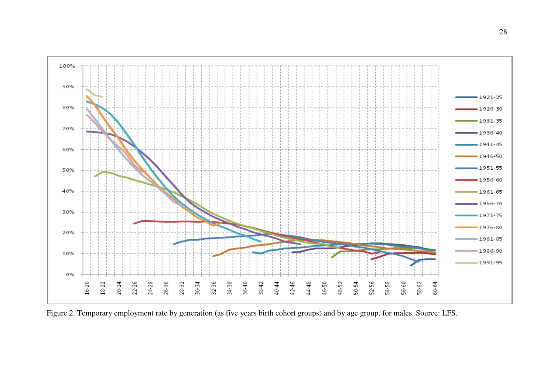

Figure 2. Temporary employment rate by generation (as five years birth cohort groups) and by age group, for males. Source: LFS.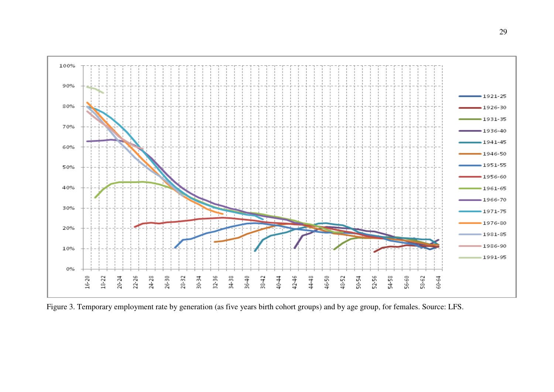

Figure 3. Temporary employment rate by generation (as five years birth cohort groups) and by age group, for females. Source: LFS.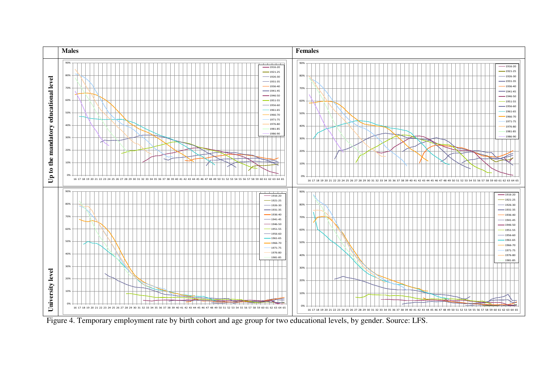

Figure 4. Temporary employment rate by birth cohort and age group for two educational levels, by gender. Source: LFS.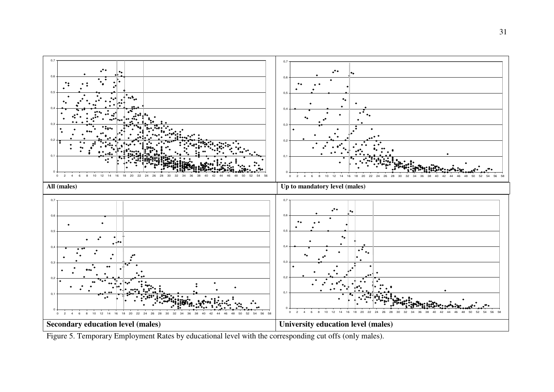

Figure 5. Temporary Employment Rates by educational level with the corresponding cut offs (only males).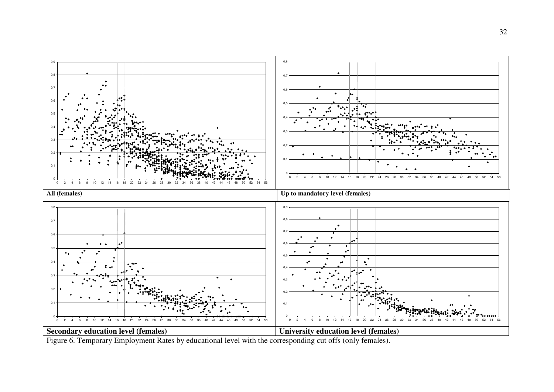

Figure 6. Temporary Employment Rates by educational level with the corresponding cut offs (only females).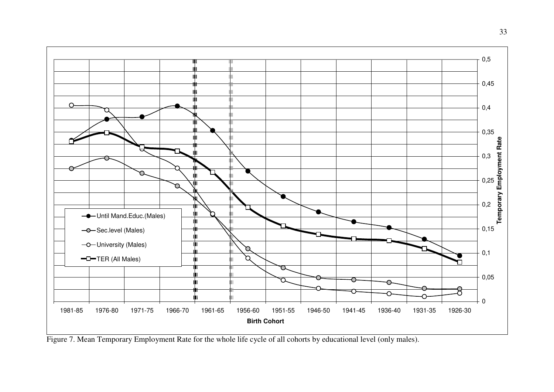

Figure 7. Mean Temporary Employment Rate for the whole life cycle of all cohorts by educational level (only males).